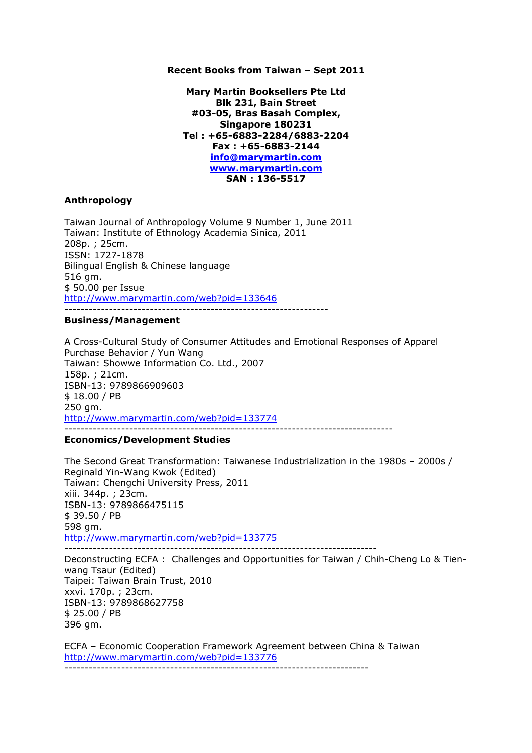### **Recent Books from Taiwan – Sept 2011**

**Mary Martin Booksellers Pte Ltd Blk 231, Bain Street #03-05, Bras Basah Complex, Singapore 180231 Tel : +65-6883-2284/6883-2204 Fax : +65-6883-2144 info@marymartin.com www.marymartin.com SAN : 136-5517**

## **Anthropology**

Taiwan Journal of Anthropology Volume 9 Number 1, June 2011 Taiwan: Institute of Ethnology Academia Sinica, 2011 208p. ; 25cm. ISSN: 1727-1878 Bilingual English & Chinese language 516 gm. \$ 50.00 per Issue http://www.marymartin.com/web?pid=133646 -----------------------------------------------------------------

#### **Business/Management**

A Cross-Cultural Study of Consumer Attitudes and Emotional Responses of Apparel Purchase Behavior / Yun Wang Taiwan: Showwe Information Co. Ltd., 2007 158p. ; 21cm. ISBN-13: 9789866909603 \$ 18.00 / PB 250 gm. http://www.marymartin.com/web?pid=133774 ---------------------------------------------------------------------------------

## **Economics/Development Studies**

The Second Great Transformation: Taiwanese Industrialization in the 1980s – 2000s / Reginald Yin-Wang Kwok (Edited) Taiwan: Chengchi University Press, 2011 xiii. 344p. ; 23cm. ISBN-13: 9789866475115 \$ 39.50 / PB 598 gm. http://www.marymartin.com/web?pid=133775 -----------------------------------------------------------------------------

Deconstructing ECFA : Challenges and Opportunities for Taiwan / Chih-Cheng Lo & Tienwang Tsaur (Edited) Taipei: Taiwan Brain Trust, 2010 xxvi. 170p. ; 23cm. ISBN-13: 9789868627758 \$ 25.00 / PB 396 gm.

ECFA – Economic Cooperation Framework Agreement between China & Taiwan http://www.marymartin.com/web?pid=133776 ---------------------------------------------------------------------------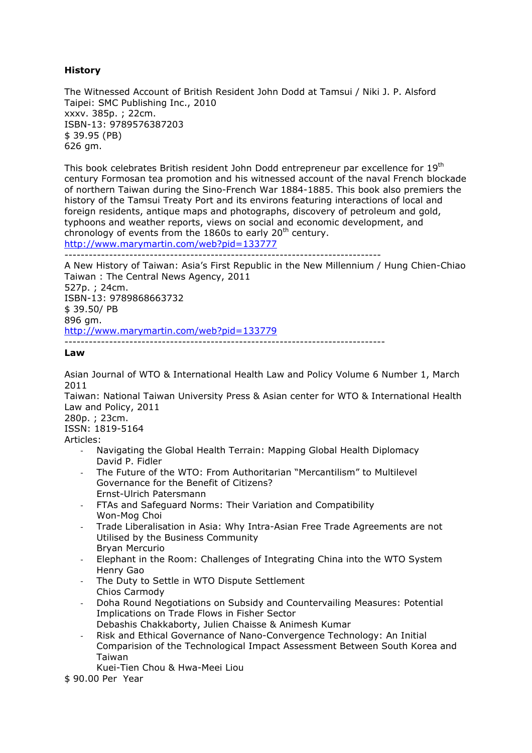# **History**

The Witnessed Account of British Resident John Dodd at Tamsui / Niki J. P. Alsford Taipei: SMC Publishing Inc., 2010 xxxv. 385p. ; 22cm. ISBN-13: 9789576387203 \$ 39.95 (PB) 626 gm.

This book celebrates British resident John Dodd entrepreneur par excellence for 19th century Formosan tea promotion and his witnessed account of the naval French blockade of northern Taiwan during the Sino-French War 1884-1885. This book also premiers the history of the Tamsui Treaty Port and its environs featuring interactions of local and foreign residents, antique maps and photographs, discovery of petroleum and gold, typhoons and weather reports, views on social and economic development, and chronology of events from the 1860s to early  $20<sup>th</sup>$  century. http://www.marymartin.com/web?pid=133777

------------------------------------------------------------------------------

A New History of Taiwan: Asia's First Republic in the New Millennium / Hung Chien-Chiao Taiwan : The Central News Agency, 2011 527p. ; 24cm. ISBN-13: 9789868663732 \$ 39.50/ PB 896 gm. http://www.marymartin.com/web?pid=133779 -------------------------------------------------------------------------------

## **Law**

Asian Journal of WTO & International Health Law and Policy Volume 6 Number 1, March 2011

Taiwan: National Taiwan University Press & Asian center for WTO & International Health Law and Policy, 2011

280p. ; 23cm. ISSN: 1819-5164

Articles:

- Navigating the Global Health Terrain: Mapping Global Health Diplomacy David P. Fidler
- The Future of the WTO: From Authoritarian "Mercantilism" to Multilevel Governance for the Benefit of Citizens? Ernst-Ulrich Patersmann
- FTAs and Safeguard Norms: Their Variation and Compatibility Won-Mog Choi
- Trade Liberalisation in Asia: Why Intra-Asian Free Trade Agreements are not Utilised by the Business Community
- Bryan Mercurio
- Elephant in the Room: Challenges of Integrating China into the WTO System Henry Gao
- The Duty to Settle in WTO Dispute Settlement Chios Carmody
- Doha Round Negotiations on Subsidy and Countervailing Measures: Potential Implications on Trade Flows in Fisher Sector
- Debashis Chakkaborty, Julien Chaisse & Animesh Kumar
- Risk and Ethical Governance of Nano-Convergence Technology: An Initial Comparision of the Technological Impact Assessment Between South Korea and Taiwan
	- Kuei-Tien Chou & Hwa-Meei Liou

\$ 90.00 Per Year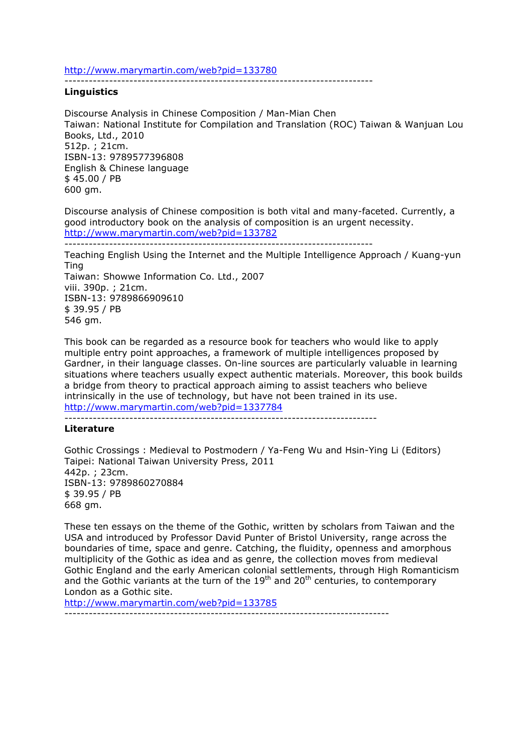http://www.marymartin.com/web?pid=133780

----------------------------------------------------------------------------

## **Linguistics**

Discourse Analysis in Chinese Composition / Man-Mian Chen Taiwan: National Institute for Compilation and Translation (ROC) Taiwan & Wanjuan Lou Books, Ltd., 2010 512p. ; 21cm. ISBN-13: 9789577396808 English & Chinese language \$ 45.00 / PB 600 gm.

Discourse analysis of Chinese composition is both vital and many-faceted. Currently, a good introductory book on the analysis of composition is an urgent necessity. http://www.marymartin.com/web?pid=133782

```
----------------------------------------------------------------------------
```
Teaching English Using the Internet and the Multiple Intelligence Approach / Kuang-yun Ting

Taiwan: Showwe Information Co. Ltd., 2007 viii. 390p. ; 21cm. ISBN-13: 9789866909610 \$ 39.95 / PB 546 gm.

This book can be regarded as a resource book for teachers who would like to apply multiple entry point approaches, a framework of multiple intelligences proposed by Gardner, in their language classes. On-line sources are particularly valuable in learning situations where teachers usually expect authentic materials. Moreover, this book builds a bridge from theory to practical approach aiming to assist teachers who believe intrinsically in the use of technology, but have not been trained in its use. http://www.marymartin.com/web?pid=1337784

-----------------------------------------------------------------------------

## **Literature**

Gothic Crossings : Medieval to Postmodern / Ya-Feng Wu and Hsin-Ying Li (Editors) Taipei: National Taiwan University Press, 2011 442p. ; 23cm. ISBN-13: 9789860270884 \$ 39.95 / PB 668 gm.

These ten essays on the theme of the Gothic, written by scholars from Taiwan and the USA and introduced by Professor David Punter of Bristol University, range across the boundaries of time, space and genre. Catching, the fluidity, openness and amorphous multiplicity of the Gothic as idea and as genre, the collection moves from medieval Gothic England and the early American colonial settlements, through High Romanticism and the Gothic variants at the turn of the  $19<sup>th</sup>$  and  $20<sup>th</sup>$  centuries, to contemporary London as a Gothic site.

http://www.marymartin.com/web?pid=133785

--------------------------------------------------------------------------------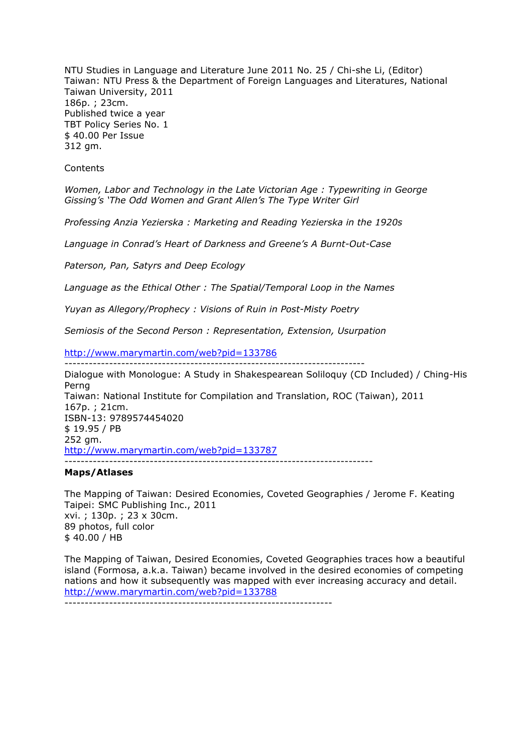NTU Studies in Language and Literature June 2011 No. 25 / Chi-she Li, (Editor) Taiwan: NTU Press & the Department of Foreign Languages and Literatures, National Taiwan University, 2011 186p. ; 23cm. Published twice a year TBT Policy Series No. 1 \$ 40.00 Per Issue 312 gm.

**Contents** 

*Women, Labor and Technology in the Late Victorian Age : Typewriting in George Gissing's 'The Odd Women and Grant Allen's The Type Writer Girl*

*Professing Anzia Yezierska : Marketing and Reading Yezierska in the 1920s*

*Language in Conrad's Heart of Darkness and Greene's A Burnt-Out-Case*

*Paterson, Pan, Satyrs and Deep Ecology*

*Language as the Ethical Other : The Spatial/Temporal Loop in the Names*

*Yuyan as Allegory/Prophecy : Visions of Ruin in Post-Misty Poetry*

--------------------------------------------------------------------------

*Semiosis of the Second Person : Representation, Extension, Usurpation*

http://www.marymartin.com/web?pid=133786

Dialogue with Monologue: A Study in Shakespearean Soliloquy (CD Included) / Ching-His Perng Taiwan: National Institute for Compilation and Translation, ROC (Taiwan), 2011 167p. ; 21cm. ISBN-13: 9789574454020 \$ 19.95 / PB 252 gm. http://www.marymartin.com/web?pid=133787 ----------------------------------------------------------------------------

#### **Maps/Atlases**

The Mapping of Taiwan: Desired Economies, Coveted Geographies / Jerome F. Keating Taipei: SMC Publishing Inc., 2011 xvi. ; 130p. ; 23 x 30cm. 89 photos, full color \$ 40.00 / HB

The Mapping of Taiwan, Desired Economies, Coveted Geographies traces how a beautiful island (Formosa, a.k.a. Taiwan) became involved in the desired economies of competing nations and how it subsequently was mapped with ever increasing accuracy and detail. http://www.marymartin.com/web?pid=133788 ------------------------------------------------------------------